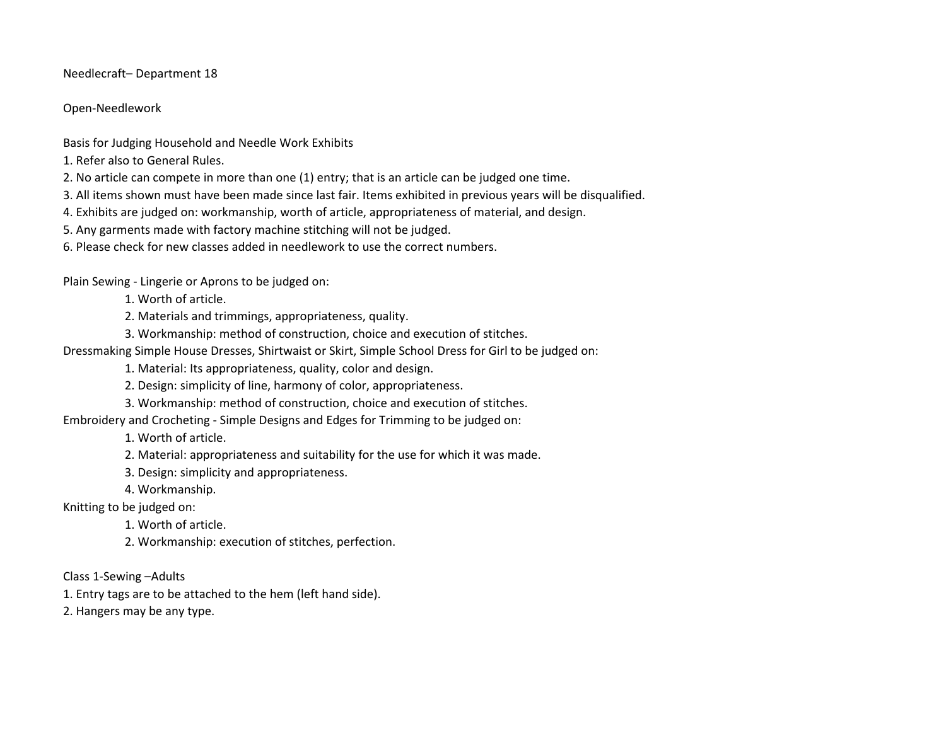Needlecraft– Department 18

Open-Needlework

Basis for Judging Household and Needle Work Exhibits

1. Refer also to General Rules.

2. No article can compete in more than one (1) entry; that is an article can be judged one time.

3. All items shown must have been made since last fair. Items exhibited in previous years will be disqualified.

4. Exhibits are judged on: workmanship, worth of article, appropriateness of material, and design.

5. Any garments made with factory machine stitching will not be judged.

6. Please check for new classes added in needlework to use the correct numbers.

Plain Sewing - Lingerie or Aprons to be judged on:

1. Worth of article.

2. Materials and trimmings, appropriateness, quality.

3. Workmanship: method of construction, choice and execution of stitches.

Dressmaking Simple House Dresses, Shirtwaist or Skirt, Simple School Dress for Girl to be judged on:

1. Material: Its appropriateness, quality, color and design.

2. Design: simplicity of line, harmony of color, appropriateness.

3. Workmanship: method of construction, choice and execution of stitches.

Embroidery and Crocheting - Simple Designs and Edges for Trimming to be judged on:

1. Worth of article.

2. Material: appropriateness and suitability for the use for which it was made.

3. Design: simplicity and appropriateness.

4. Workmanship.

Knitting to be judged on:

1. Worth of article.

2. Workmanship: execution of stitches, perfection.

Class 1-Sewing –Adults

1. Entry tags are to be attached to the hem (left hand side).

2. Hangers may be any type.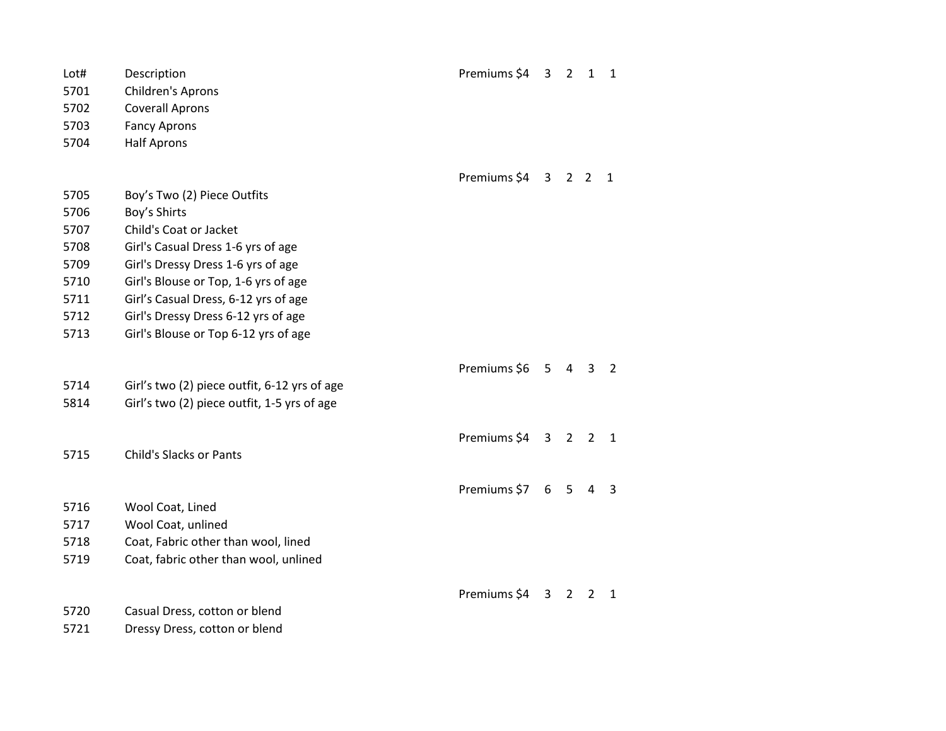| Lot#<br>5701<br>5702<br>5703<br>5704 | Description<br>Children's Aprons<br><b>Coverall Aprons</b><br><b>Fancy Aprons</b><br><b>Half Aprons</b> | Premiums \$4 3 2 1 1 |                 |                |                |                         |
|--------------------------------------|---------------------------------------------------------------------------------------------------------|----------------------|-----------------|----------------|----------------|-------------------------|
|                                      |                                                                                                         | Premiums \$4 3 2 2 1 |                 |                |                |                         |
| 5705                                 | Boy's Two (2) Piece Outfits                                                                             |                      |                 |                |                |                         |
| 5706                                 | Boy's Shirts                                                                                            |                      |                 |                |                |                         |
| 5707                                 | Child's Coat or Jacket                                                                                  |                      |                 |                |                |                         |
| 5708                                 | Girl's Casual Dress 1-6 yrs of age                                                                      |                      |                 |                |                |                         |
| 5709<br>5710                         | Girl's Dressy Dress 1-6 yrs of age<br>Girl's Blouse or Top, 1-6 yrs of age                              |                      |                 |                |                |                         |
| 5711                                 | Girl's Casual Dress, 6-12 yrs of age                                                                    |                      |                 |                |                |                         |
| 5712                                 | Girl's Dressy Dress 6-12 yrs of age                                                                     |                      |                 |                |                |                         |
| 5713                                 | Girl's Blouse or Top 6-12 yrs of age                                                                    |                      |                 |                |                |                         |
|                                      |                                                                                                         |                      |                 |                |                |                         |
|                                      |                                                                                                         | Premiums \$6 5 4 3   |                 |                |                | $\overline{2}$          |
| 5714                                 | Girl's two (2) piece outfit, 6-12 yrs of age                                                            |                      |                 |                |                |                         |
| 5814                                 | Girl's two (2) piece outfit, 1-5 yrs of age                                                             |                      |                 |                |                |                         |
|                                      |                                                                                                         | Premiums \$4 3 2 2 1 |                 |                |                |                         |
| 5715                                 | <b>Child's Slacks or Pants</b>                                                                          |                      |                 |                |                |                         |
|                                      |                                                                                                         |                      |                 |                |                |                         |
|                                      |                                                                                                         | Premiums \$7         | $6\overline{6}$ | 5 <sub>1</sub> | $\overline{4}$ | $\overline{\mathbf{3}}$ |
| 5716                                 | Wool Coat, Lined                                                                                        |                      |                 |                |                |                         |
| 5717                                 | Wool Coat, unlined                                                                                      |                      |                 |                |                |                         |
| 5718                                 | Coat, Fabric other than wool, lined                                                                     |                      |                 |                |                |                         |
| 5719                                 | Coat, fabric other than wool, unlined                                                                   |                      |                 |                |                |                         |
|                                      |                                                                                                         | Premiums \$4 3 2 2 1 |                 |                |                |                         |
| 5720                                 | Casual Dress, cotton or blend                                                                           |                      |                 |                |                |                         |
| 5721                                 | Dressy Dress, cotton or blend                                                                           |                      |                 |                |                |                         |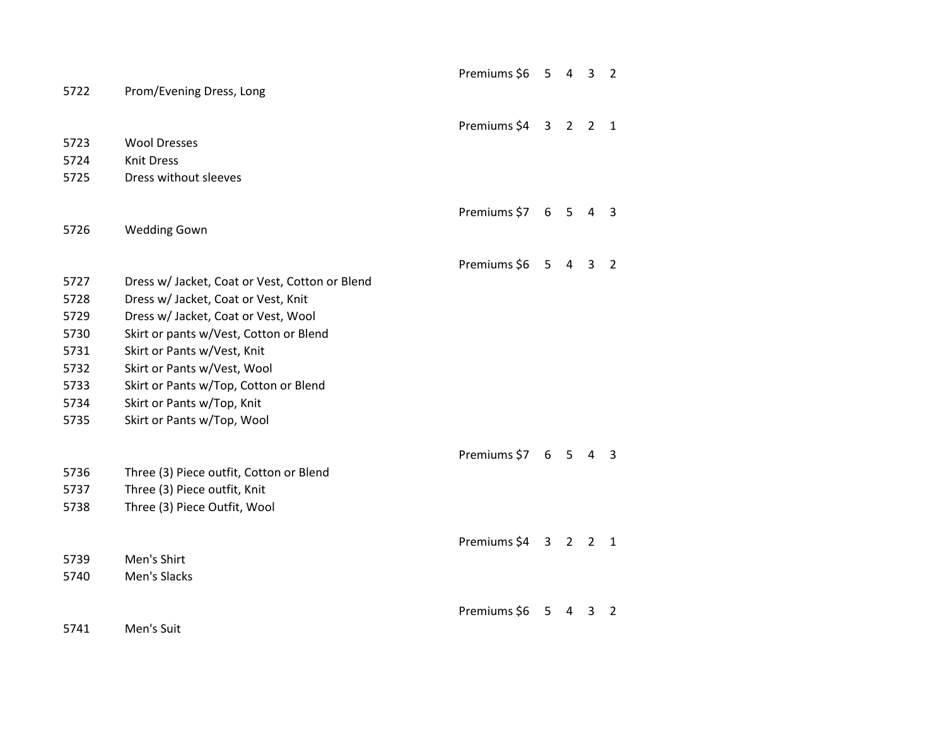|              |                                                            | Premiums \$6 | 5            | 4              | 3              | 2              |
|--------------|------------------------------------------------------------|--------------|--------------|----------------|----------------|----------------|
| 5722         | Prom/Evening Dress, Long                                   |              |              |                |                |                |
|              |                                                            |              |              |                |                |                |
|              |                                                            | Premiums \$4 | $\mathbf{3}$ | $\overline{2}$ | $\overline{2}$ | $\mathbf{1}$   |
| 5723         | <b>Wool Dresses</b>                                        |              |              |                |                |                |
| 5724         | <b>Knit Dress</b>                                          |              |              |                |                |                |
| 5725         | Dress without sleeves                                      |              |              |                |                |                |
|              |                                                            |              |              |                |                |                |
|              |                                                            | Premiums \$7 | 6            | 5              | 4              | 3              |
| 5726         | <b>Wedding Gown</b>                                        |              |              |                |                |                |
|              |                                                            |              |              |                |                |                |
|              |                                                            | Premiums \$6 | 5            | 4              | 3              | $\overline{2}$ |
| 5727         | Dress w/ Jacket, Coat or Vest, Cotton or Blend             |              |              |                |                |                |
| 5728         | Dress w/ Jacket, Coat or Vest, Knit                        |              |              |                |                |                |
| 5729         | Dress w/ Jacket, Coat or Vest, Wool                        |              |              |                |                |                |
| 5730         | Skirt or pants w/Vest, Cotton or Blend                     |              |              |                |                |                |
| 5731<br>5732 | Skirt or Pants w/Vest, Knit<br>Skirt or Pants w/Vest, Wool |              |              |                |                |                |
| 5733         | Skirt or Pants w/Top, Cotton or Blend                      |              |              |                |                |                |
| 5734         | Skirt or Pants w/Top, Knit                                 |              |              |                |                |                |
| 5735         | Skirt or Pants w/Top, Wool                                 |              |              |                |                |                |
|              |                                                            |              |              |                |                |                |
|              |                                                            | Premiums \$7 | 6            | 5              | 4              | 3              |
| 5736         | Three (3) Piece outfit, Cotton or Blend                    |              |              |                |                |                |
| 5737         | Three (3) Piece outfit, Knit                               |              |              |                |                |                |
| 5738         | Three (3) Piece Outfit, Wool                               |              |              |                |                |                |
|              |                                                            |              |              |                |                |                |
|              |                                                            | Premiums \$4 |              | 3 <sub>2</sub> | 2              | 1              |
| 5739         | Men's Shirt                                                |              |              |                |                |                |
| 5740         | Men's Slacks                                               |              |              |                |                |                |
|              |                                                            |              |              |                |                |                |
|              |                                                            | Premiums \$6 | 5            | 4              | 3              | $\overline{2}$ |
| 5741         | Men's Suit                                                 |              |              |                |                |                |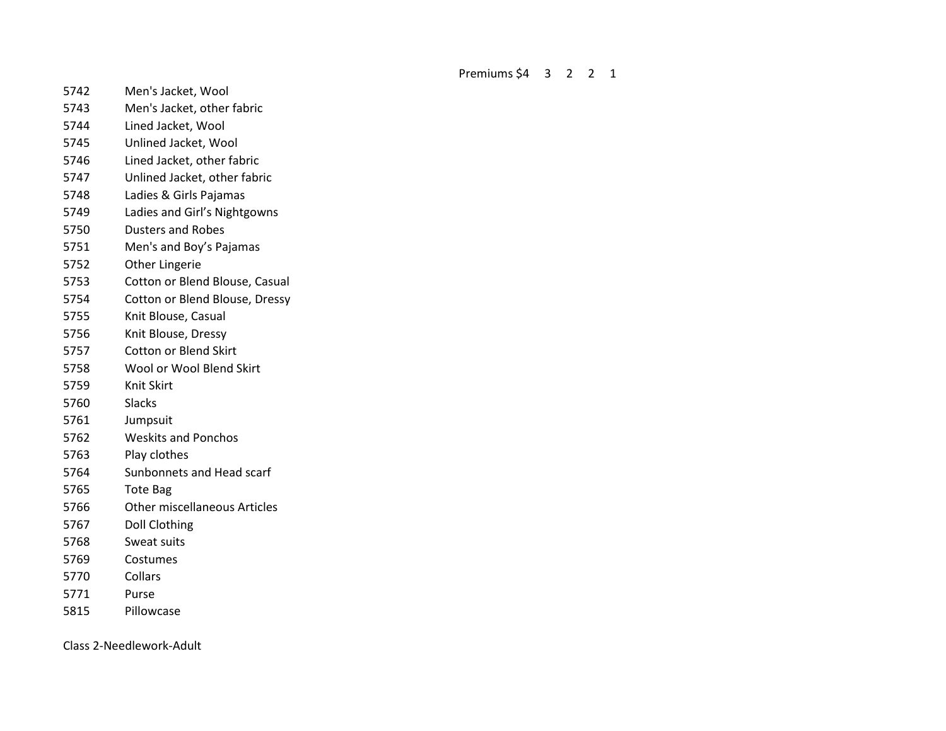Premiums \$4 3 2 2 1

- Men's Jacket, Wool
- Men's Jacket, other fabric
- Lined Jacket, Wool
- Unlined Jacket, Wool
- Lined Jacket, other fabric
- Unlined Jacket, other fabric
- Ladies & Girls Pajamas
- Ladies and Girl's Nightgowns
- Dusters and Robes
- Men's and Boy's Pajamas
- Other Lingerie
- Cotton or Blend Blouse, Casual
- Cotton or Blend Blouse, Dressy
- Knit Blouse, Casual
- Knit Blouse, Dressy
- Cotton or Blend Skirt
- Wool or Wool Blend Skirt
- Knit Skirt
- Slacks
- Jumpsuit
- Weskits and Ponchos
- Play clothes
- Sunbonnets and Head scarf
- Tote Bag
- Other miscellaneous Articles
- Doll Clothing
- Sweat suits
- Costumes
- Collars
- Purse
- Pillowcase

Class 2-Needlework-Adult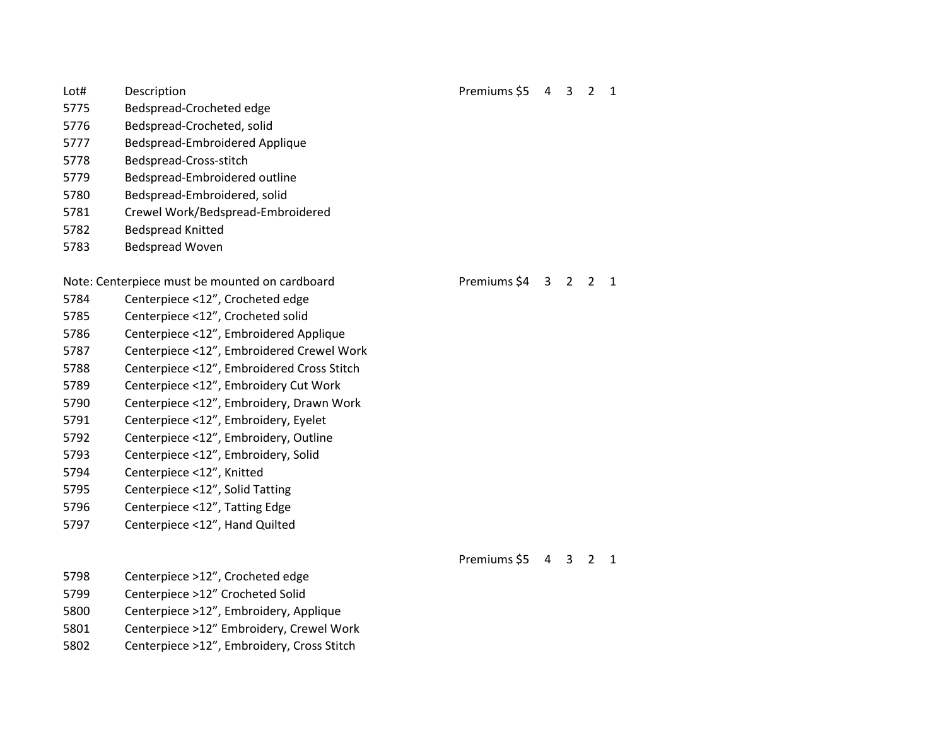- Bedspread-Crocheted edge
- Bedspread-Crocheted, solid
- Bedspread-Embroidered Applique
- Bedspread-Cross-stitch
- Bedspread-Embroidered outline
- Bedspread-Embroidered, solid
- Crewel Work/Bedspread-Embroidered
- Bedspread Knitted
- Bedspread Woven

# Note: Centerpiece must be mounted on cardboard Premiums \$4 3 2 2 1

- Centerpiece <12", Crocheted edge
- Centerpiece <12", Crocheted solid
- Centerpiece <12", Embroidered Applique
- Centerpiece <12", Embroidered Crewel Work
- Centerpiece <12", Embroidered Cross Stitch
- Centerpiece <12", Embroidery Cut Work
- Centerpiece <12", Embroidery, Drawn Work
- Centerpiece <12", Embroidery, Eyelet
- Centerpiece <12", Embroidery, Outline
- Centerpiece <12", Embroidery, Solid
- Centerpiece <12", Knitted
- Centerpiece <12", Solid Tatting
- Centerpiece <12", Tatting Edge
- Centerpiece <12", Hand Quilted

## Premiums \$5 4 3 2 1

- Centerpiece >12", Crocheted edge
- Centerpiece >12" Crocheted Solid
- Centerpiece >12", Embroidery, Applique
- Centerpiece >12" Embroidery, Crewel Work
- Centerpiece >12", Embroidery, Cross Stitch

# Lot# Description **Premiums** \$5 4 3 2 1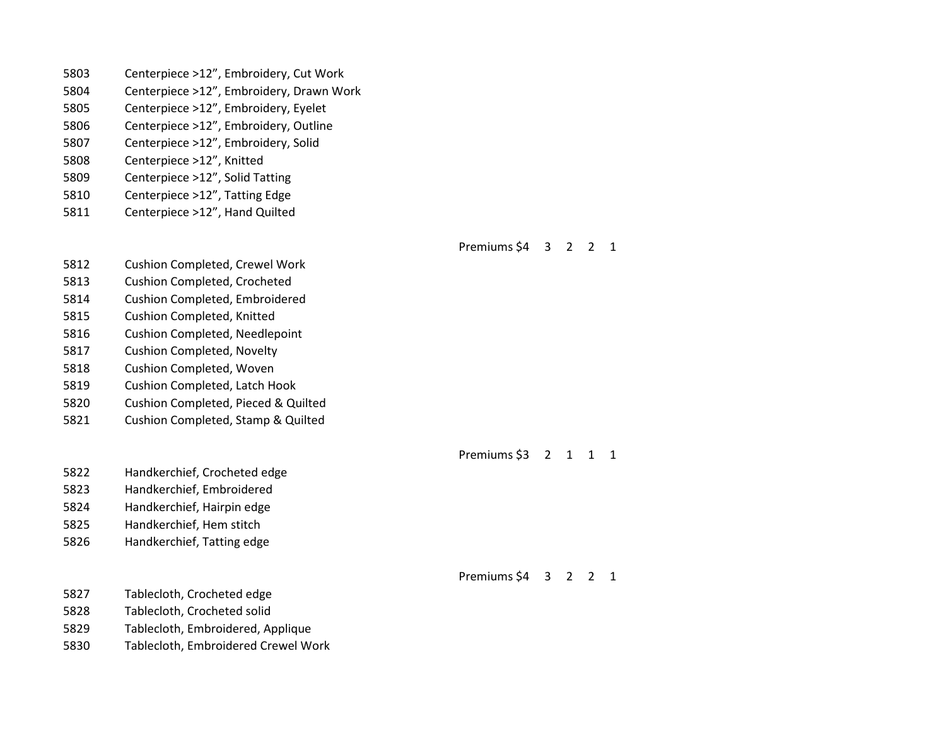- Centerpiece >12", Embroidery, Drawn Work
- Centerpiece >12", Embroidery, Eyelet
- Centerpiece >12", Embroidery, Outline
- Centerpiece >12", Embroidery, Solid
- Centerpiece >12", Knitted
- Centerpiece >12", Solid Tatting
- Centerpiece >12", Tatting Edge
- Centerpiece >12", Hand Quilted

### Premiums \$4 3 2 2 1

- Cushion Completed, Crewel Work
- Cushion Completed, Crocheted
- Cushion Completed, Embroidered
- Cushion Completed, Knitted
- Cushion Completed, Needlepoint
- Cushion Completed, Novelty
- Cushion Completed, Woven
- Cushion Completed, Latch Hook
- Cushion Completed, Pieced & Quilted
- Cushion Completed, Stamp & Quilted

Handkerchief, Crocheted edge

- Handkerchief, Embroidered
- Handkerchief, Hairpin edge
- Handkerchief, Hem stitch
- Handkerchief, Tatting edge

## Tablecloth, Crocheted edge

- Tablecloth, Crocheted solid
- Tablecloth, Embroidered, Applique
- Tablecloth, Embroidered Crewel Work

## Premiums \$3 2 1 1 1

Premiums \$4 3 2 2 1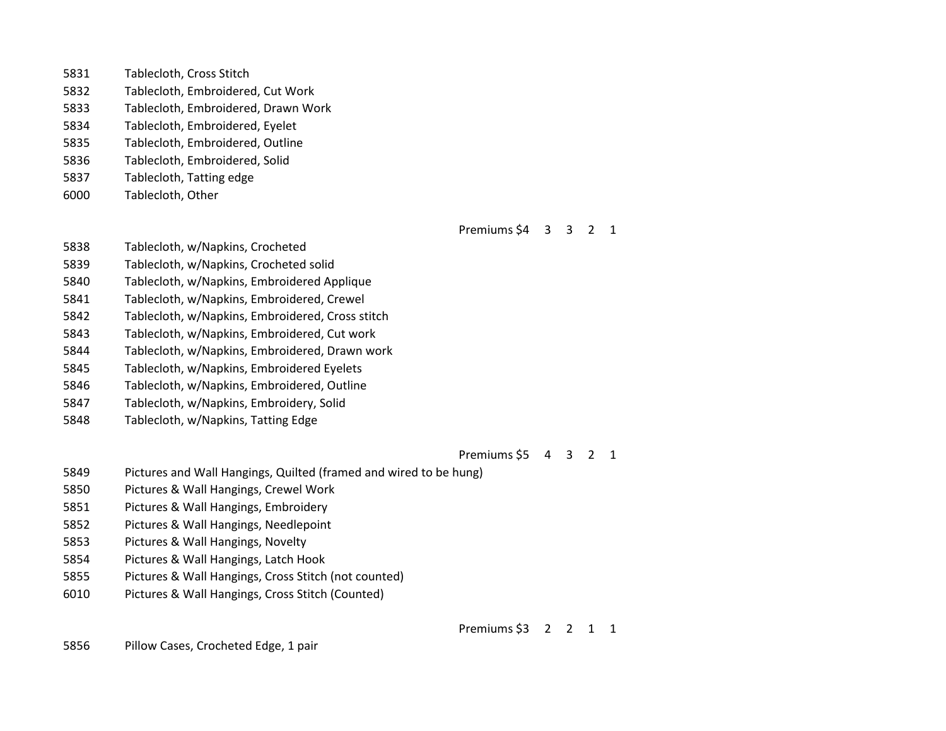| 5831 | Tablecloth, Cross Stitch            |
|------|-------------------------------------|
| 5832 | Tablecloth, Embroidered, Cut Work   |
| 5833 | Tablecloth, Embroidered, Drawn Work |
| 5834 | Tablecloth, Embroidered, Eyelet     |
| 5835 | Tablecloth, Embroidered, Outline    |
| 5836 | Tablecloth, Embroidered, Solid      |

- Tablecloth, Tatting edge
- Tablecloth, Other

Premiums \$4 3 3 2 1

- Tablecloth, w/Napkins, Crocheted
- Tablecloth, w/Napkins, Crocheted solid
- Tablecloth, w/Napkins, Embroidered Applique
- Tablecloth, w/Napkins, Embroidered, Crewel
- Tablecloth, w/Napkins, Embroidered, Cross stitch
- Tablecloth, w/Napkins, Embroidered, Cut work
- Tablecloth, w/Napkins, Embroidered, Drawn work
- Tablecloth, w/Napkins, Embroidered Eyelets
- Tablecloth, w/Napkins, Embroidered, Outline
- Tablecloth, w/Napkins, Embroidery, Solid
- Tablecloth, w/Napkins, Tatting Edge

Premiums \$5 4 3 2 1

- Pictures and Wall Hangings, Quilted (framed and wired to be hung)
- Pictures & Wall Hangings, Crewel Work
- Pictures & Wall Hangings, Embroidery
- Pictures & Wall Hangings, Needlepoint
- Pictures & Wall Hangings, Novelty
- Pictures & Wall Hangings, Latch Hook
- Pictures & Wall Hangings, Cross Stitch (not counted)
- Pictures & Wall Hangings, Cross Stitch (Counted)

Premiums \$3 2 2 1 1

Pillow Cases, Crocheted Edge, 1 pair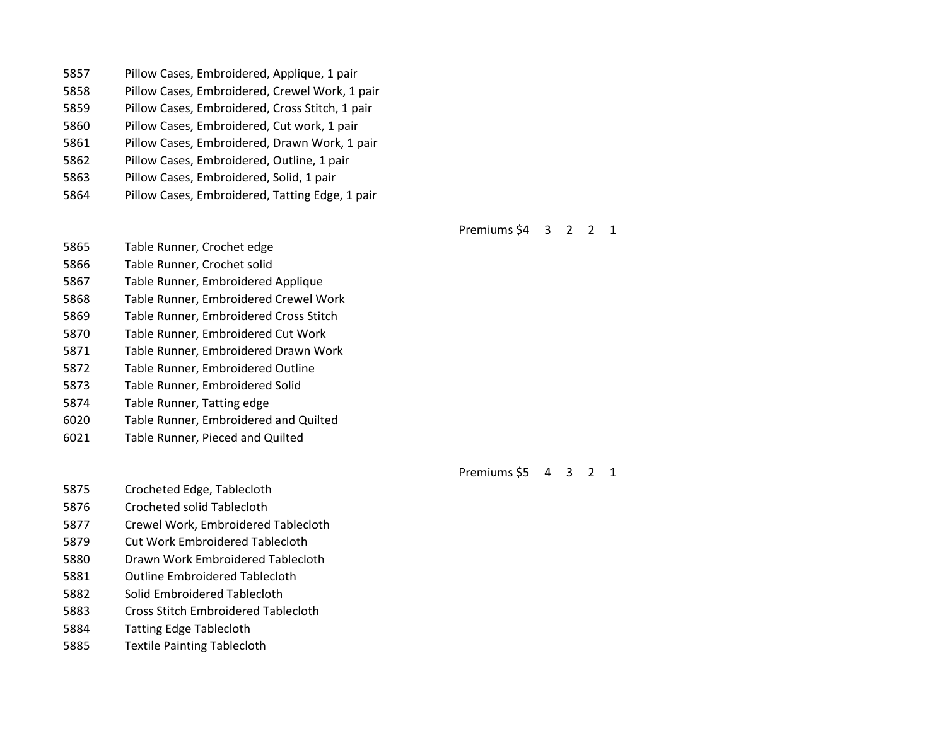| 5857 | Pillow Cases, Embroidered, Applique, 1 pair     |
|------|-------------------------------------------------|
| 5858 | Pillow Cases, Embroidered, Crewel Work, 1 pair  |
| 5859 | Pillow Cases, Embroidered, Cross Stitch, 1 pair |
| 5860 | Pillow Cases, Embroidered, Cut work, 1 pair     |
| 5861 | Pillow Cases, Embroidered, Drawn Work, 1 pair   |
| 5862 | Pillow Cases, Embroidered, Outline, 1 pair      |
| 5863 | Pillow Cases, Embroidered, Solid, 1 pair        |
| 5864 | Pillow Cases, Embroidered, Tatting Edge, 1 pair |

## Premiums \$4 3 2 2 1

Table Runner, Crochet edge

- Table Runner, Crochet solid
- Table Runner, Embroidered Applique
- Table Runner, Embroidered Crewel Work
- Table Runner, Embroidered Cross Stitch
- Table Runner, Embroidered Cut Work
- Table Runner, Embroidered Drawn Work
- Table Runner, Embroidered Outline
- Table Runner, Embroidered Solid
- Table Runner, Tatting edge
- Table Runner, Embroidered and Quilted
- Table Runner, Pieced and Quilted

Premiums \$5 4 3 2 1

- Crocheted Edge, Tablecloth
- Crocheted solid Tablecloth
- Crewel Work, Embroidered Tablecloth
- Cut Work Embroidered Tablecloth
- Drawn Work Embroidered Tablecloth
- Outline Embroidered Tablecloth
- Solid Embroidered Tablecloth
- Cross Stitch Embroidered Tablecloth
- Tatting Edge Tablecloth
- Textile Painting Tablecloth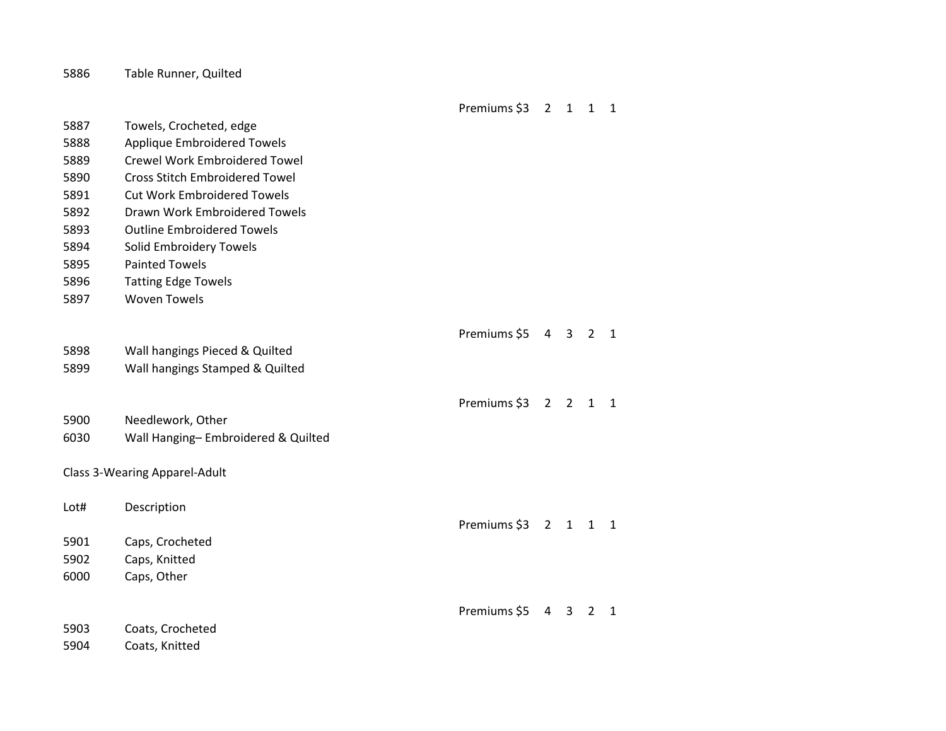|      |                                       | Premiums \$3 | $\overline{2}$ | $\overline{1}$ | $\mathbf{1}$   | $\mathbf{1}$   |
|------|---------------------------------------|--------------|----------------|----------------|----------------|----------------|
| 5887 | Towels, Crocheted, edge               |              |                |                |                |                |
| 5888 | Applique Embroidered Towels           |              |                |                |                |                |
| 5889 | <b>Crewel Work Embroidered Towel</b>  |              |                |                |                |                |
| 5890 | <b>Cross Stitch Embroidered Towel</b> |              |                |                |                |                |
| 5891 | <b>Cut Work Embroidered Towels</b>    |              |                |                |                |                |
| 5892 | Drawn Work Embroidered Towels         |              |                |                |                |                |
| 5893 | <b>Outline Embroidered Towels</b>     |              |                |                |                |                |
| 5894 | Solid Embroidery Towels               |              |                |                |                |                |
| 5895 | <b>Painted Towels</b>                 |              |                |                |                |                |
| 5896 | <b>Tatting Edge Towels</b>            |              |                |                |                |                |
| 5897 | <b>Woven Towels</b>                   |              |                |                |                |                |
|      |                                       |              |                |                |                |                |
|      |                                       | Premiums \$5 | 4 3            |                | $2^{\circ}$    | $\overline{1}$ |
| 5898 | Wall hangings Pieced & Quilted        |              |                |                |                |                |
| 5899 | Wall hangings Stamped & Quilted       |              |                |                |                |                |
|      |                                       |              |                |                |                |                |
|      |                                       | Premiums \$3 | $\overline{2}$ | $\overline{2}$ | $\mathbf{1}$   | $\overline{1}$ |
| 5900 | Needlework, Other                     |              |                |                |                |                |
| 6030 | Wall Hanging-Embroidered & Quilted    |              |                |                |                |                |
|      |                                       |              |                |                |                |                |
|      | Class 3-Wearing Apparel-Adult         |              |                |                |                |                |
| Lot# | Description                           |              |                |                |                |                |
|      |                                       | Premiums \$3 |                | $2 \quad 1$    | $1 \quad 1$    |                |
| 5901 | Caps, Crocheted                       |              |                |                |                |                |
| 5902 | Caps, Knitted                         |              |                |                |                |                |
| 6000 | Caps, Other                           |              |                |                |                |                |
|      |                                       |              |                |                |                |                |
|      |                                       | Premiums \$5 | 4              | 3              | $\overline{2}$ | $\mathbf{1}$   |
| 5903 | Coats, Crocheted                      |              |                |                |                |                |
|      |                                       |              |                |                |                |                |

Coats, Knitted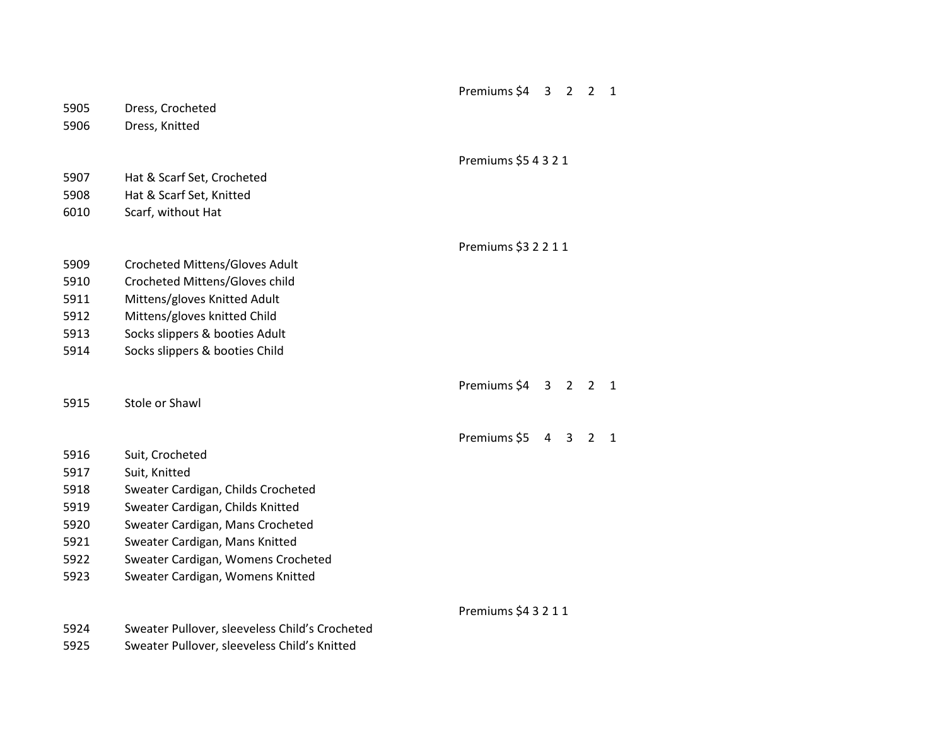|      |                                                | Premiums \$4         | 3              | $\overline{2}$ | $\overline{2}$ | $\mathbf{1}$ |
|------|------------------------------------------------|----------------------|----------------|----------------|----------------|--------------|
| 5905 | Dress, Crocheted                               |                      |                |                |                |              |
| 5906 | Dress, Knitted                                 |                      |                |                |                |              |
|      |                                                |                      |                |                |                |              |
|      |                                                | Premiums \$5 4 3 2 1 |                |                |                |              |
| 5907 | Hat & Scarf Set, Crocheted                     |                      |                |                |                |              |
| 5908 | Hat & Scarf Set, Knitted                       |                      |                |                |                |              |
| 6010 | Scarf, without Hat                             |                      |                |                |                |              |
|      |                                                |                      |                |                |                |              |
|      |                                                | Premiums \$3 2 2 1 1 |                |                |                |              |
| 5909 | Crocheted Mittens/Gloves Adult                 |                      |                |                |                |              |
| 5910 | Crocheted Mittens/Gloves child                 |                      |                |                |                |              |
| 5911 | Mittens/gloves Knitted Adult                   |                      |                |                |                |              |
| 5912 | Mittens/gloves knitted Child                   |                      |                |                |                |              |
| 5913 | Socks slippers & booties Adult                 |                      |                |                |                |              |
| 5914 | Socks slippers & booties Child                 |                      |                |                |                |              |
|      |                                                | Premiums \$4         | 3 <sup>7</sup> | $2^{\circ}$    | $\overline{2}$ | 1            |
| 5915 | Stole or Shawl                                 |                      |                |                |                |              |
|      |                                                |                      |                |                |                |              |
|      |                                                | Premiums \$5         | $\overline{4}$ | 3              | $\overline{2}$ | $\mathbf{1}$ |
| 5916 | Suit, Crocheted                                |                      |                |                |                |              |
| 5917 | Suit, Knitted                                  |                      |                |                |                |              |
| 5918 | Sweater Cardigan, Childs Crocheted             |                      |                |                |                |              |
| 5919 | Sweater Cardigan, Childs Knitted               |                      |                |                |                |              |
| 5920 | Sweater Cardigan, Mans Crocheted               |                      |                |                |                |              |
| 5921 | Sweater Cardigan, Mans Knitted                 |                      |                |                |                |              |
| 5922 | Sweater Cardigan, Womens Crocheted             |                      |                |                |                |              |
| 5923 | Sweater Cardigan, Womens Knitted               |                      |                |                |                |              |
|      |                                                | Premiums \$4 3 2 1 1 |                |                |                |              |
| 5924 | Sweater Pullover, sleeveless Child's Crocheted |                      |                |                |                |              |
| 5925 | Sweater Pullover, sleeveless Child's Knitted   |                      |                |                |                |              |
|      |                                                |                      |                |                |                |              |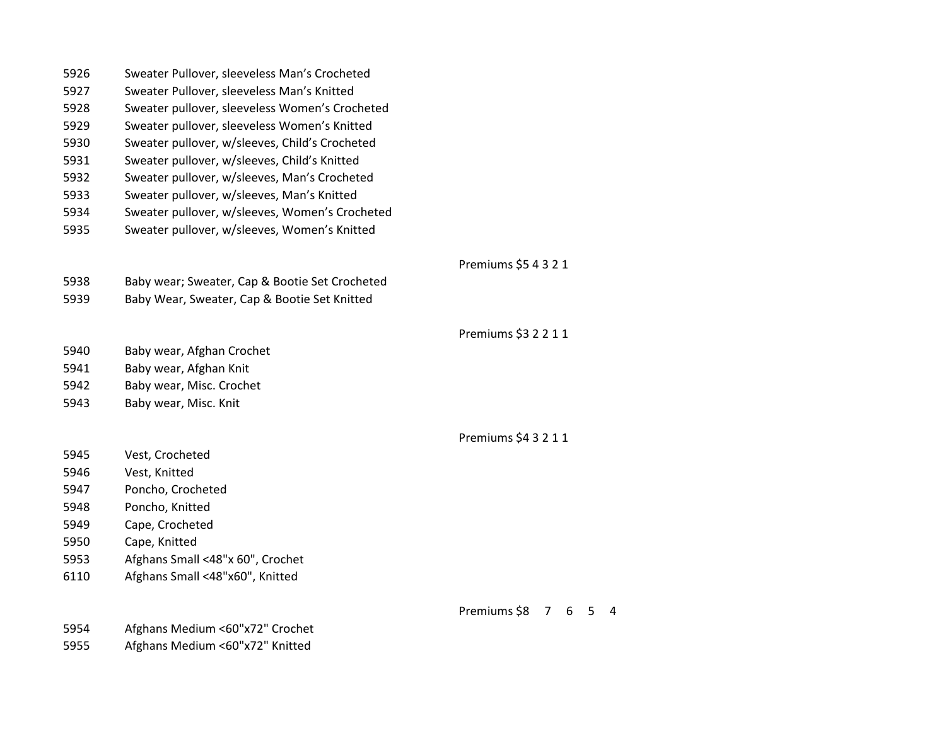| 5926 | Sweater Pullover, sleeveless Man's Crocheted   |                        |
|------|------------------------------------------------|------------------------|
| 5927 | Sweater Pullover, sleeveless Man's Knitted     |                        |
| 5928 | Sweater pullover, sleeveless Women's Crocheted |                        |
| 5929 | Sweater pullover, sleeveless Women's Knitted   |                        |
| 5930 | Sweater pullover, w/sleeves, Child's Crocheted |                        |
| 5931 | Sweater pullover, w/sleeves, Child's Knitted   |                        |
| 5932 | Sweater pullover, w/sleeves, Man's Crocheted   |                        |
| 5933 | Sweater pullover, w/sleeves, Man's Knitted     |                        |
| 5934 | Sweater pullover, w/sleeves, Women's Crocheted |                        |
| 5935 | Sweater pullover, w/sleeves, Women's Knitted   |                        |
|      |                                                | Premiums \$5 4 3 2 1   |
| 5938 | Baby wear; Sweater, Cap & Bootie Set Crocheted |                        |
| 5939 | Baby Wear, Sweater, Cap & Bootie Set Knitted   |                        |
|      |                                                | Premiums \$3 2 2 1 1   |
| 5940 | Baby wear, Afghan Crochet                      |                        |
| 5941 | Baby wear, Afghan Knit                         |                        |
| 5942 | Baby wear, Misc. Crochet                       |                        |
| 5943 | Baby wear, Misc. Knit                          |                        |
|      |                                                | Premiums \$4 3 2 1 1   |
| 5945 | Vest, Crocheted                                |                        |
| 5946 | Vest, Knitted                                  |                        |
| 5947 | Poncho, Crocheted                              |                        |
| 5948 | Poncho, Knitted                                |                        |
| 5949 | Cape, Crocheted                                |                        |
| 5950 | Cape, Knitted                                  |                        |
| 5953 | Afghans Small <48"x 60", Crochet               |                        |
| 6110 | Afghans Small <48"x60", Knitted                |                        |
|      |                                                | Premiums \$8<br>7<br>6 |
| 5954 | Afghans Medium <60"x72" Crochet                |                        |

Afghans Medium <60"x72" Knitted

 $6 \quad 5 \quad 4$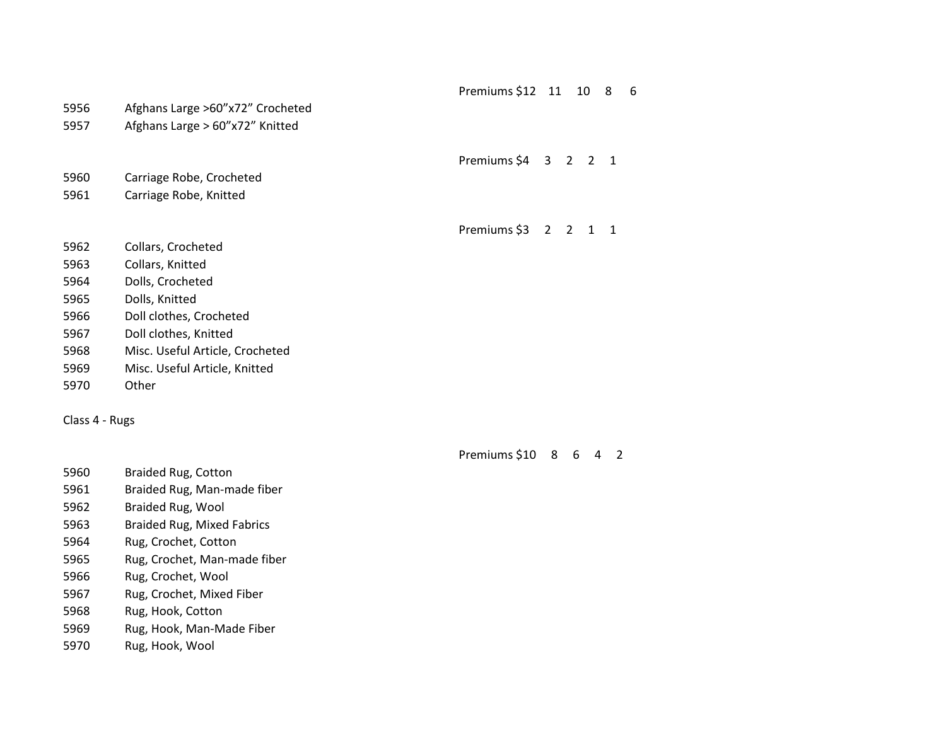| Premiums \$12 11 |  | - 10 |  | 6 |
|------------------|--|------|--|---|
|------------------|--|------|--|---|

Afghans Large >60"x72" Crocheted

Afghans Large > 60"x72" Knitted

| Premiums \$4 |  |  |  |  |
|--------------|--|--|--|--|
|--------------|--|--|--|--|

- Carriage Robe, Crocheted
- Carriage Robe, Knitted

Premiums \$3 2 2 1 1

- Collars, Crocheted
- Collars, Knitted
- Dolls, Crocheted
- Dolls, Knitted
- Doll clothes, Crocheted
- Doll clothes, Knitted
- Misc. Useful Article, Crocheted
- Misc. Useful Article, Knitted
- Other

Class 4 - Rugs

Premiums \$10 8 6 4 2

- Braided Rug, Cotton
- Braided Rug, Man-made fiber
- Braided Rug, Wool
- Braided Rug, Mixed Fabrics
- Rug, Crochet, Cotton
- Rug, Crochet, Man-made fiber
- Rug, Crochet, Wool
- Rug, Crochet, Mixed Fiber
- Rug, Hook, Cotton
- Rug, Hook, Man-Made Fiber
- Rug, Hook, Wool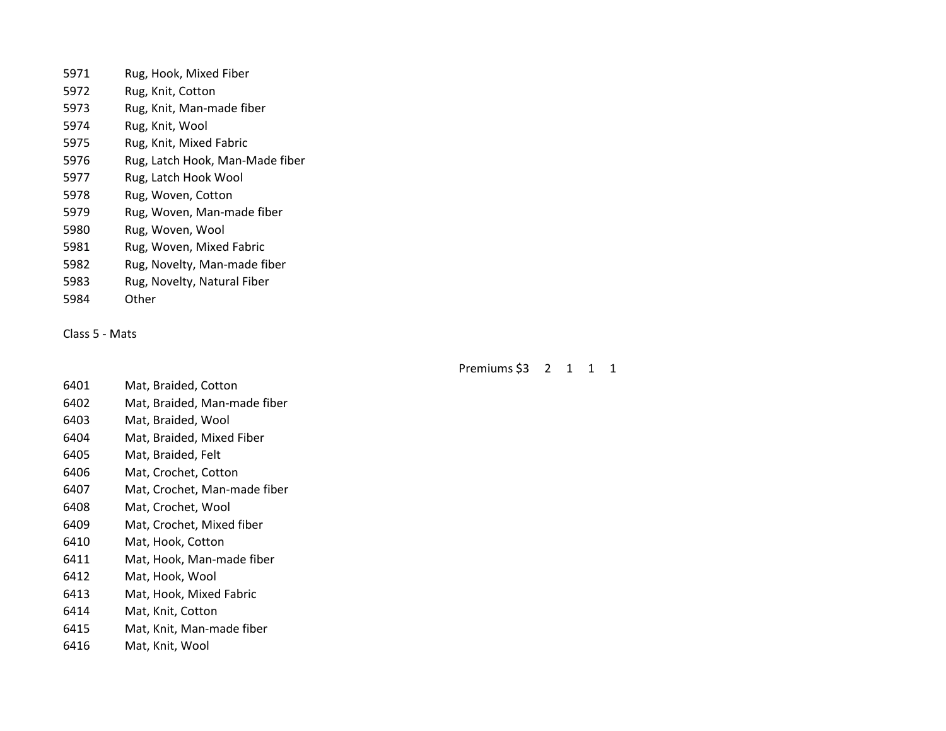- Rug, Hook, Mixed Fiber Rug, Knit, Cotton Rug, Knit, Man-made fiber Rug, Knit, Wool Rug, Knit, Mixed Fabric Rug, Latch Hook, Man-Made fiber Rug, Latch Hook Wool Rug, Woven, Cotton Rug, Woven, Man-made fiber Rug, Woven, Wool Rug, Woven, Mixed Fabric Rug, Novelty, Man-made fiber Rug, Novelty, Natural Fiber
- Other

Class 5 - Mats

# Premiums \$3 2 1 1 1

- Mat, Braided, Cotton
- Mat, Braided, Man-made fiber
- Mat, Braided, Wool
- Mat, Braided, Mixed Fiber
- Mat, Braided, Felt
- Mat, Crochet, Cotton
- Mat, Crochet, Man-made fiber
- Mat, Crochet, Wool
- Mat, Crochet, Mixed fiber
- Mat, Hook, Cotton
- Mat, Hook, Man-made fiber
- Mat, Hook, Wool
- Mat, Hook, Mixed Fabric
- Mat, Knit, Cotton
- Mat, Knit, Man-made fiber
- Mat, Knit, Wool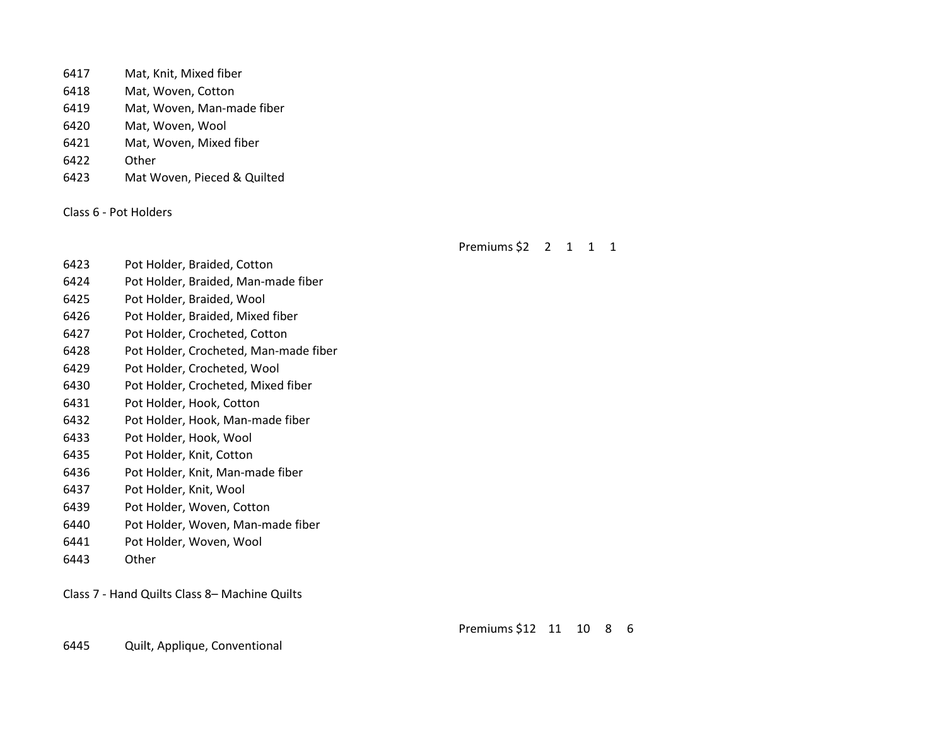- Mat, Knit, Mixed fiber
- Mat, Woven, Cotton
- Mat, Woven, Man-made fiber
- Mat, Woven, Wool
- Mat, Woven, Mixed fiber
- Other
- Mat Woven, Pieced & Quilted

Class 6 - Pot Holders

Premiums \$2 2 1 1 1

- Pot Holder, Braided, Cotton
- Pot Holder, Braided, Man-made fiber
- Pot Holder, Braided, Wool
- Pot Holder, Braided, Mixed fiber
- Pot Holder, Crocheted, Cotton
- Pot Holder, Crocheted, Man-made fiber
- Pot Holder, Crocheted, Wool
- Pot Holder, Crocheted, Mixed fiber
- Pot Holder, Hook, Cotton
- Pot Holder, Hook, Man-made fiber
- Pot Holder, Hook, Wool
- Pot Holder, Knit, Cotton
- Pot Holder, Knit, Man-made fiber
- Pot Holder, Knit, Wool
- Pot Holder, Woven, Cotton
- Pot Holder, Woven, Man-made fiber
- Pot Holder, Woven, Wool
- Other

Class 7 - Hand Quilts Class 8– Machine Quilts

Premiums \$12 11 10 8 6

Quilt, Applique, Conventional